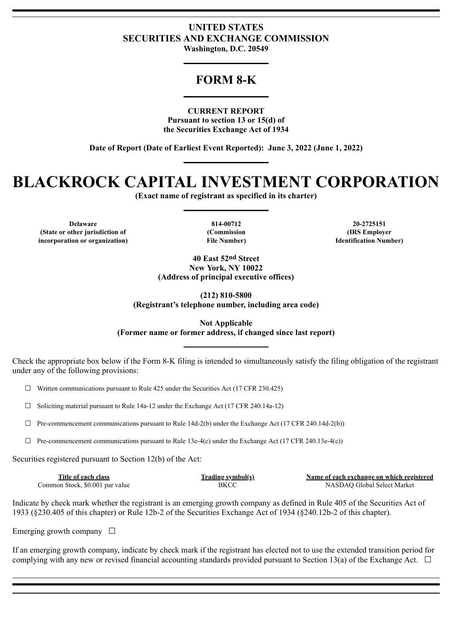### **UNITED STATES SECURITIES AND EXCHANGE COMMISSION Washington, D.C. 20549**

## **FORM 8-K**

### **CURRENT REPORT**

**Pursuant to section 13 or 15(d) of the Securities Exchange Act of 1934**

**Date of Report (Date of Earliest Event Reported): June 3, 2022 (June 1, 2022)**

# **BLACKROCK CAPITAL INVESTMENT CORPORATION**

**(Exact name of registrant as specified in its charter)**

**Delaware 814-00712 20-2725151 (State or other jurisdiction of (Commission (IRS Employer incorporation or organization) File Number) Identification Number)**

**40 East 52nd Street New York, NY 10022 (Address of principal executive offices)**

**(212) 810-5800 (Registrant's telephone number, including area code)**

**Not Applicable (Former name or former address, if changed since last report)**

Check the appropriate box below if the Form 8-K filing is intended to simultaneously satisfy the filing obligation of the registrant under any of the following provisions:

 $\Box$  Written communications pursuant to Rule 425 under the Securities Act (17 CFR 230.425)

 $\Box$  Soliciting material pursuant to Rule 14a-12 under the Exchange Act (17 CFR 240.14a-12)

 $\Box$  Pre-commencement communications pursuant to Rule 14d-2(b) under the Exchange Act (17 CFR 240.14d-2(b))

 $\Box$  Pre-commencement communications pursuant to Rule 13e-4(c) under the Exchange Act (17 CFR 240.13e-4(c))

Securities registered pursuant to Section 12(b) of the Act:

| Title of each class             | Trading symbol(s) | Name of each exchange on which registered |
|---------------------------------|-------------------|-------------------------------------------|
| Common Stock, \$0.001 par value | BKCC              | NASDAO Global Select Market               |

Indicate by check mark whether the registrant is an emerging growth company as defined in Rule 405 of the Securities Act of 1933 (§230.405 of this chapter) or Rule 12b-2 of the Securities Exchange Act of 1934 (§240.12b-2 of this chapter).

Emerging growth company  $\Box$ 

If an emerging growth company, indicate by check mark if the registrant has elected not to use the extended transition period for complying with any new or revised financial accounting standards provided pursuant to Section 13(a) of the Exchange Act.  $\Box$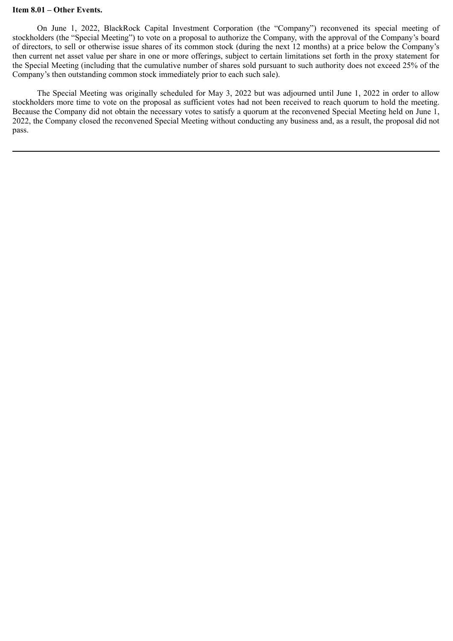#### **Item 8.01 – Other Events.**

On June 1, 2022, BlackRock Capital Investment Corporation (the "Company") reconvened its special meeting of stockholders (the "Special Meeting") to vote on a proposal to authorize the Company, with the approval of the Company's board of directors, to sell or otherwise issue shares of its common stock (during the next 12 months) at a price below the Company's then current net asset value per share in one or more offerings, subject to certain limitations set forth in the proxy statement for the Special Meeting (including that the cumulative number of shares sold pursuant to such authority does not exceed 25% of the Company's then outstanding common stock immediately prior to each such sale).

The Special Meeting was originally scheduled for May 3, 2022 but was adjourned until June 1, 2022 in order to allow stockholders more time to vote on the proposal as sufficient votes had not been received to reach quorum to hold the meeting. Because the Company did not obtain the necessary votes to satisfy a quorum at the reconvened Special Meeting held on June 1, 2022, the Company closed the reconvened Special Meeting without conducting any business and, as a result, the proposal did not pass.